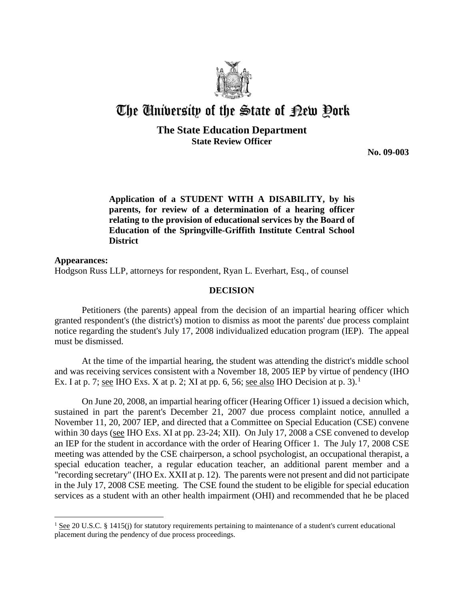

## The University of the State of Pew Pork

## **The State Education Department State Review Officer**

**No. 09-003** 

**Application of a STUDENT WITH A DISABILITY, by his parents, for review of a determination of a hearing officer relating to the provision of educational services by the Board of Education of the Springville-Griffith Institute Central School District**

**Appearances:** Hodgson Russ LLP, attorneys for respondent, Ryan L. Everhart, Esq., of counsel

## **DECISION**

Petitioners (the parents) appeal from the decision of an impartial hearing officer which granted respondent's (the district's) motion to dismiss as moot the parents' due process complaint notice regarding the student's July 17, 2008 individualized education program (IEP). The appeal must be dismissed.

At the time of the impartial hearing, the student was attending the district's middle school and was receiving services consistent with a November 18, 2005 IEP by virtue of pendency (IHO Ex. I at p. 7; see IHO Exs. X at p. 2; XI at pp. 6, 56; see also IHO Decision at p. 3).<sup>1</sup>

On June 20, 2008, an impartial hearing officer (Hearing Officer 1) issued a decision which, sustained in part the parent's December 21, 2007 due process complaint notice, annulled a November 11, 20, 2007 IEP, and directed that a Committee on Special Education (CSE) convene within 30 days (see IHO Exs. XI at pp. 23-24; XII). On July 17, 2008 a CSE convened to develop an IEP for the student in accordance with the order of Hearing Officer 1. The July 17, 2008 CSE meeting was attended by the CSE chairperson, a school psychologist, an occupational therapist, a special education teacher, a regular education teacher, an additional parent member and a "recording secretary" (IHO Ex. XXII at p. 12). The parents were not present and did not participate in the July 17, 2008 CSE meeting. The CSE found the student to be eligible for special education services as a student with an other health impairment (OHI) and recommended that he be placed

 $\overline{a}$ 

 $1 \text{ See } 20 \text{ U.S.C. }$  § 1415(j) for statutory requirements pertaining to maintenance of a student's current educational placement during the pendency of due process proceedings.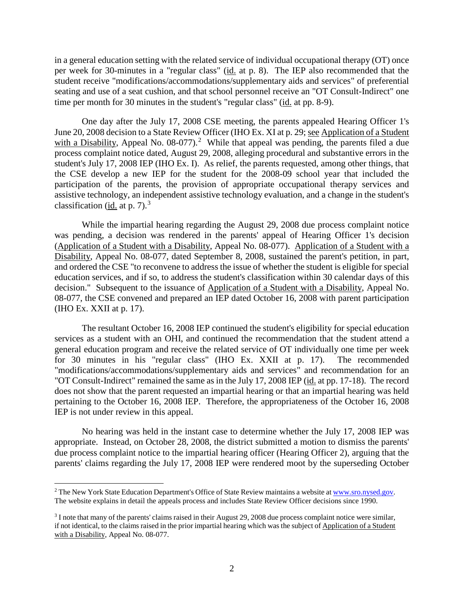in a general education setting with the related service of individual occupational therapy (OT) once per week for 30-minutes in a "regular class" (id. at p. 8). The IEP also recommended that the student receive "modifications/accommodations/supplementary aids and services" of preferential seating and use of a seat cushion, and that school personnel receive an "OT Consult-Indirect" one time per month for 30 minutes in the student's "regular class" (id. at pp. 8-9).

One day after the July 17, 2008 CSE meeting, the parents appealed Hearing Officer 1's June 20, 2008 decision to a State Review Officer (IHO Ex. XI at p. 29; see Application of a Student with a Disability, Appeal No.  $08-077$ ).<sup>2</sup> While that appeal was pending, the parents filed a due process complaint notice dated, August 29, 2008, alleging procedural and substantive errors in the student's July 17, 2008 IEP (IHO Ex. I). As relief, the parents requested, among other things, that the CSE develop a new IEP for the student for the 2008-09 school year that included the participation of the parents, the provision of appropriate occupational therapy services and assistive technology, an independent assistive technology evaluation, and a change in the student's classification (id. at p. 7).<sup>3</sup>

While the impartial hearing regarding the August 29, 2008 due process complaint notice was pending, a decision was rendered in the parents' appeal of Hearing Officer 1's decision (Application of a Student with a Disability, Appeal No. 08-077). Application of a Student with a Disability, Appeal No. 08-077, dated September 8, 2008, sustained the parent's petition, in part, and ordered the CSE "to reconvene to address the issue of whether the student is eligible for special education services, and if so, to address the student's classification within 30 calendar days of this decision." Subsequent to the issuance of Application of a Student with a Disability, Appeal No. 08-077, the CSE convened and prepared an IEP dated October 16, 2008 with parent participation (IHO Ex. XXII at p. 17).

The resultant October 16, 2008 IEP continued the student's eligibility for special education services as a student with an OHI, and continued the recommendation that the student attend a general education program and receive the related service of OT individually one time per week for 30 minutes in his "regular class" (IHO Ex. XXII at p. 17). The recommended "modifications/accommodations/supplementary aids and services" and recommendation for an "OT Consult-Indirect" remained the same as in the July 17, 2008 IEP (id. at pp. 17-18). The record does not show that the parent requested an impartial hearing or that an impartial hearing was held pertaining to the October 16, 2008 IEP. Therefore, the appropriateness of the October 16, 2008 IEP is not under review in this appeal.

No hearing was held in the instant case to determine whether the July 17, 2008 IEP was appropriate. Instead, on October 28, 2008, the district submitted a motion to dismiss the parents' due process complaint notice to the impartial hearing officer (Hearing Officer 2), arguing that the parents' claims regarding the July 17, 2008 IEP were rendered moot by the superseding October

<sup>&</sup>lt;sup>2</sup> The New York State Education Department's Office of State Review maintains a website at www.sro.nysed.gov. The website explains in detail the appeals process and includes State Review Officer decisions since 1990.

<sup>3</sup> I note that many of the parents' claims raised in their August 29, 2008 due process complaint notice were similar, if not identical, to the claims raised in the prior impartial hearing which was the subject of Application of a Student with a Disability, Appeal No. 08-077.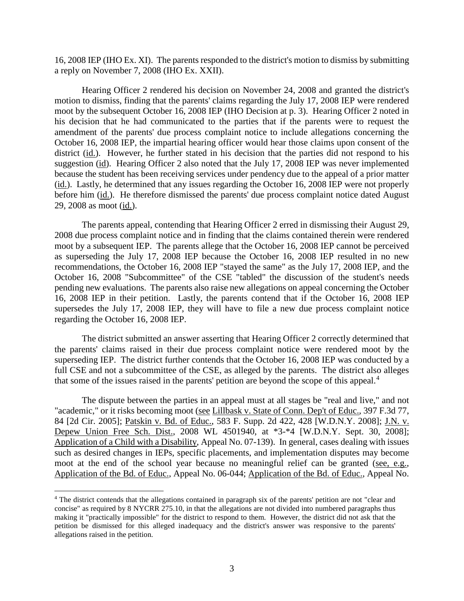16, 2008 IEP (IHO Ex. XI). The parents responded to the district's motion to dismiss by submitting a reply on November 7, 2008 (IHO Ex. XXII).

Hearing Officer 2 rendered his decision on November 24, 2008 and granted the district's motion to dismiss, finding that the parents' claims regarding the July 17, 2008 IEP were rendered moot by the subsequent October 16, 2008 IEP (IHO Decision at p. 3). Hearing Officer 2 noted in his decision that he had communicated to the parties that if the parents were to request the amendment of the parents' due process complaint notice to include allegations concerning the October 16, 2008 IEP, the impartial hearing officer would hear those claims upon consent of the district (id.). However, he further stated in his decision that the parties did not respond to his suggestion (id). Hearing Officer 2 also noted that the July 17, 2008 IEP was never implemented because the student has been receiving services under pendency due to the appeal of a prior matter (id.). Lastly, he determined that any issues regarding the October 16, 2008 IEP were not properly before him (id.). He therefore dismissed the parents' due process complaint notice dated August 29, 2008 as moot (id.).

The parents appeal, contending that Hearing Officer 2 erred in dismissing their August 29, 2008 due process complaint notice and in finding that the claims contained therein were rendered moot by a subsequent IEP. The parents allege that the October 16, 2008 IEP cannot be perceived as superseding the July 17, 2008 IEP because the October 16, 2008 IEP resulted in no new recommendations, the October 16, 2008 IEP "stayed the same" as the July 17, 2008 IEP, and the October 16, 2008 "Subcommittee" of the CSE "tabled" the discussion of the student's needs pending new evaluations. The parents also raise new allegations on appeal concerning the October 16, 2008 IEP in their petition. Lastly, the parents contend that if the October 16, 2008 IEP supersedes the July 17, 2008 IEP, they will have to file a new due process complaint notice regarding the October 16, 2008 IEP.

The district submitted an answer asserting that Hearing Officer 2 correctly determined that the parents' claims raised in their due process complaint notice were rendered moot by the superseding IEP. The district further contends that the October 16, 2008 IEP was conducted by a full CSE and not a subcommittee of the CSE, as alleged by the parents. The district also alleges that some of the issues raised in the parents' petition are beyond the scope of this appeal.<sup>4</sup>

The dispute between the parties in an appeal must at all stages be "real and live," and not "academic," or it risks becoming moot (see Lillbask v. State of Conn. Dep't of Educ., 397 F.3d 77, 84 [2d Cir. 2005]; Patskin v. Bd. of Educ., 583 F. Supp. 2d 422, 428 [W.D.N.Y. 2008]; J.N. v. Depew Union Free Sch. Dist., 2008 WL 4501940, at \*3-\*4 [W.D.N.Y. Sept. 30, 2008]; Application of a Child with a Disability, Appeal No. 07-139). In general, cases dealing with issues such as desired changes in IEPs, specific placements, and implementation disputes may become moot at the end of the school year because no meaningful relief can be granted (see, e.g., Application of the Bd. of Educ., Appeal No. 06-044; Application of the Bd. of Educ., Appeal No.

 <sup>4</sup> The district contends that the allegations contained in paragraph six of the parents' petition are not "clear and concise" as required by 8 NYCRR 275.10, in that the allegations are not divided into numbered paragraphs thus making it "practically impossible" for the district to respond to them. However, the district did not ask that the petition be dismissed for this alleged inadequacy and the district's answer was responsive to the parents' allegations raised in the petition.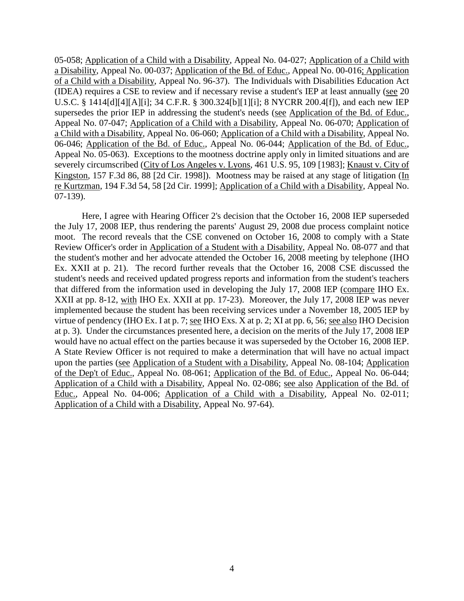05-058; Application of a Child with a Disability, Appeal No. 04-027; Application of a Child with a Disability, Appeal No. 00-037; Application of the Bd. of Educ., Appeal No. 00-016; Application of a Child with a Disability, Appeal No. 96-37). The Individuals with Disabilities Education Act (IDEA) requires a CSE to review and if necessary revise a student's IEP at least annually (see 20 U.S.C. § 1414[d][4][A][i]; 34 C.F.R. § 300.324[b][1][i]; 8 NYCRR 200.4[f]), and each new IEP supersedes the prior IEP in addressing the student's needs (see Application of the Bd. of Educ., Appeal No. 07-047; Application of a Child with a Disability, Appeal No. 06-070; Application of a Child with a Disability, Appeal No. 06-060; Application of a Child with a Disability, Appeal No. 06-046; Application of the Bd. of Educ., Appeal No. 06-044; Application of the Bd. of Educ., Appeal No. 05-063). Exceptions to the mootness doctrine apply only in limited situations and are severely circumscribed (City of Los Angeles v. Lyons, 461 U.S. 95, 109 [1983]; Knaust v. City of Kingston, 157 F.3d 86, 88 [2d Cir. 1998]). Mootness may be raised at any stage of litigation (In re Kurtzman, 194 F.3d 54, 58 [2d Cir. 1999]; Application of a Child with a Disability, Appeal No. 07-139).

Here, I agree with Hearing Officer 2's decision that the October 16, 2008 IEP superseded the July 17, 2008 IEP, thus rendering the parents' August 29, 2008 due process complaint notice moot. The record reveals that the CSE convened on October 16, 2008 to comply with a State Review Officer's order in Application of a Student with a Disability, Appeal No. 08-077 and that the student's mother and her advocate attended the October 16, 2008 meeting by telephone (IHO Ex. XXII at p. 21). The record further reveals that the October 16, 2008 CSE discussed the student's needs and received updated progress reports and information from the student's teachers that differed from the information used in developing the July 17, 2008 IEP (compare IHO Ex. XXII at pp. 8-12, with IHO Ex. XXII at pp. 17-23). Moreover, the July 17, 2008 IEP was never implemented because the student has been receiving services under a November 18, 2005 IEP by virtue of pendency (IHO Ex. I at p. 7; see IHO Exs. X at p. 2; XI at pp. 6, 56; see also IHO Decision at p. 3). Under the circumstances presented here, a decision on the merits of the July 17, 2008 IEP would have no actual effect on the parties because it was superseded by the October 16, 2008 IEP. A State Review Officer is not required to make a determination that will have no actual impact upon the parties (see Application of a Student with a Disability, Appeal No. 08-104; Application of the Dep't of Educ., Appeal No. 08-061; Application of the Bd. of Educ., Appeal No. 06-044; Application of a Child with a Disability, Appeal No. 02-086; see also Application of the Bd. of Educ., Appeal No. 04-006; Application of a Child with a Disability, Appeal No. 02-011; Application of a Child with a Disability, Appeal No. 97-64).